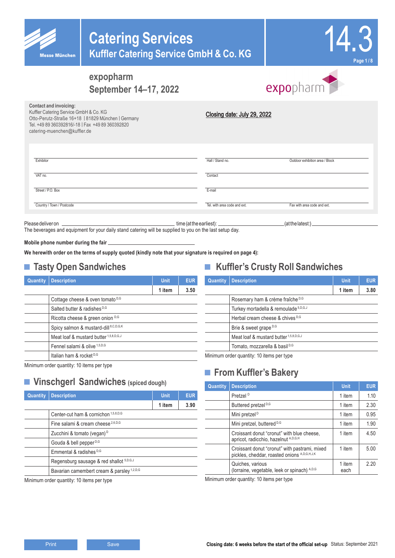



# expopharm

**Contact and invoicing:** Kuffler Catering Service GmbH & Co. KG Otto-Perutz-Straße 16+18 | 81829 München | Germany Tel. +49 89 360392816/-18 | Fax +49 89 360392820 catering-muenchen@kuffler.de

| Closing date: July 29, 2022 |  |  |
|-----------------------------|--|--|

| Exhibitor                 | Hall / Stand no.             | Outdoor exhibition area / Block |
|---------------------------|------------------------------|---------------------------------|
| VAT no.                   | Contact                      |                                 |
| Street / P.O. Box         | E-mail                       |                                 |
| Country / Town / Postcode | Tel. with area code and ext. | Fax with area code and ext.     |
|                           |                              |                                 |

The beverages and equipment for your daily stand catering will be supplied to you on the last setup day.

Please deliver on the contract of the earliest: (at the earliest: contract of the earliest:) at the latest:)

**Mobile phone number during the fair** 

**We herewith order on the terms of supply quoted (kindly note that your signature is required on page 4):**

## **■ Tasty Open Sandwiches**

| <b>Quantity</b> | <b>Description</b>                       | <b>Unit</b> | <b>EUR</b> |
|-----------------|------------------------------------------|-------------|------------|
|                 |                                          | 1 item      | 3.50       |
|                 | Cottage cheese & oven tomato D,G         |             |            |
|                 | Salted butter & radishes D,G             |             |            |
|                 | Ricotta cheese & green onion D,G         |             |            |
|                 | Spicy salmon & mustard-dill 8,C,D,G,K    |             |            |
|                 | Meat loaf & mustard butter 1,5,8,D,G,J   |             |            |
|                 | Fennel salami & olive <sup>1,5,D,G</sup> |             |            |
|                 | Italian ham & rocket <sup>D,G</sup>      |             |            |
|                 |                                          |             |            |

Minimum order quantity: 10 items per type

## **■ Vinschgerl Sandwiches (spiced dough)**

| Quantity | <b>Description</b>                                    | <b>Unit</b> | <b>EUR</b> |
|----------|-------------------------------------------------------|-------------|------------|
|          |                                                       | 1 item      | 3.90       |
|          | Center-cut ham & cornichon 1,5,8,D,G                  |             |            |
|          | Fine salami & cream cheese <sup>2,6,D,G</sup>         |             |            |
|          | Zucchini & tomato (vegan) <sup>D</sup>                |             |            |
|          | Gouda & bell pepper <sup>D,G</sup>                    |             |            |
|          | Emmental & radishes D,G                               |             |            |
|          | Regensburg sausage & red shallot 5,D,G,J              |             |            |
|          | Bavarian camembert cream & parsley <sup>1,2,D,G</sup> |             |            |
|          | Minimum order quantity: 10 items per type             |             |            |

## **■ Kuffler's Crusty Roll Sandwiches**

| Quantity | <b>Description</b>                        | <b>Unit</b> | <b>EUR</b> |
|----------|-------------------------------------------|-------------|------------|
|          |                                           | 1 item      | 3.80       |
|          | Rosemary ham & crème fraîche D,G          |             |            |
|          | Turkey mortadella & remoulade 5,D,G,J     |             |            |
|          | Herbal cream cheese & chives D,G          |             |            |
|          | Brie & sweet grape D,G                    |             |            |
|          | Meat loaf & mustard butter 1,5,8,D,G,J    |             |            |
|          | Tomato, mozzarella & basil <sup>D,G</sup> |             |            |

Minimum order quantity: 10 items per type

## **■ From Kuffler's Bakery**

| Quantity | <b>Description</b>                                                                            | <b>Unit</b>    | <b>EUR</b> |
|----------|-----------------------------------------------------------------------------------------------|----------------|------------|
|          | Pretzel <sup>D</sup>                                                                          | 1 item         | 1.10       |
|          | Buttered pretzel <sup>D,G</sup>                                                               | 1 item         | 2.30       |
|          | Mini pretzel <sup>D</sup>                                                                     | 1 item         | 0.95       |
|          | Mini pretzel, buttered <sup>D,G</sup>                                                         | 1 item         | 1.90       |
|          | Croissant donut "cronut" with blue cheese,<br>apricot, radicchio, hazelnut A,D,G,H            | 1 item         | 4.50       |
|          | Croissant donut "cronut" with pastrami, mixed<br>pickles, cheddar, roasted onions A,D,G,H,J,K | 1 item         | 5.00       |
|          | Quiches, various<br>(lorraine, vegetable, leek or spinach) A,D,G                              | 1 item<br>each | 2.20       |

Minimum order quantity: 10 items per type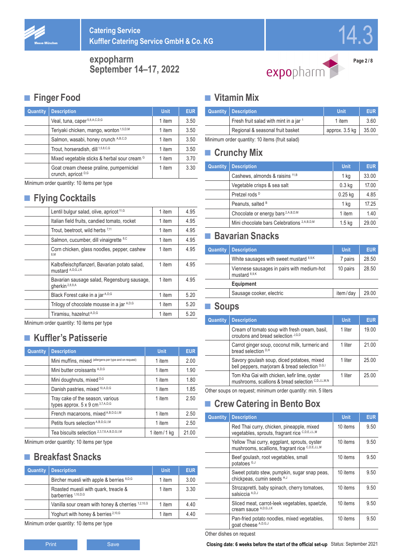

14.3

**expopharm September 14–17, 2022**



**Page 2 / 8**

## **■ Finger Food**

| Quantity | <b>Description</b>                                             | <b>Unit</b> | <b>EUR</b> |
|----------|----------------------------------------------------------------|-------------|------------|
|          | Veal, tuna, caper 5,8,A,C,D,G                                  | 1 item      | 3.50       |
|          | Teriyaki chicken, mango, wonton 1,5,D,M                        | 1 item      | 3.50       |
|          | Salmon, wasabi, honey crunch A,B,C,D                           | 1 item      | 3.50       |
|          | Trout, horseradish, dill 1,5,8,C,G                             | 1 item      | 3.50       |
|          | Mixed vegetable sticks & herbal sour cream <sup>G</sup>        | 1 item      | 3.70       |
|          | Goat cream cheese praline, pumpernickel<br>crunch, apricot D,G | 1 item      | 3.30       |

Minimum order quantity: 10 items per type

## **■ Flying Cocktails**

| Lentil bulgur salad, olive, apricot <sup>11,G</sup>                       | 1 item | 4.95 |
|---------------------------------------------------------------------------|--------|------|
| Italian field fruits, candied tomato, rocket                              | 1 item | 4.95 |
| Trout, beetroot, wild herbs 7,11                                          | 1 item | 4.95 |
| Salmon, cucumber, dill vinaigrette 8,C                                    | 1 item | 4.95 |
| Corn chicken, glass noodles, pepper, cashew<br>8.M                        | 1 item | 4.95 |
| Kalbsfleischpflanzerl, Bavarian potato salad,<br>mustard A, D, G, J, K    | 1 item | 4.95 |
| Bavarian sausage salad, Regensburg sausage,<br>aherkin <sup>2,8,9,A</sup> | 1 item | 4.95 |
| Black Forest cake in a jar <sup>A,D,G</sup>                               | 1 item | 5.20 |
| Trilogy of chocolate mousse in a jar A,D,G                                | 1 item | 5.20 |
| Tiramisu, hazelnut A,D,G                                                  | 1 item | 5.20 |
|                                                                           |        |      |

Minimum order quantity: 10 items per type

## **■ Kuffler's Patisserie**

| Quantity | <b>Description</b>                                                   | Unit.         | <b>EUR</b> |
|----------|----------------------------------------------------------------------|---------------|------------|
|          | Mini muffins, mixed (allergens per type and on request)              | 1 item        | 2.00       |
|          | Mini butter croissants A,D,G                                         | 1 item        | 1.90       |
|          | Mini doughnuts, mixed D,G                                            | 1 item        | 1.80       |
|          | Danish pastries, mixed 10,A,D,G                                      | 1 item        | 1.85       |
|          | Tray cake of the season, various<br>types approx. 5 x 9 cm 3,7,A,D,G | 1 item        | 2.50       |
|          | French macaroons, mixed A,B,D,G,I,M                                  | 1 item        | 2.50       |
|          | Petits fours selection A,B,D,G,I,M                                   | 1 item        | 2.50       |
|          | Tea biscuits selection 2,3,7,8,A,B,D,G,I,M                           | 1 item/1 $kg$ | 21.00      |

Minimum order quantity: 10 items per type

## **■ Breakfast Snacks**

| <b>Quantity</b> | <b>Description</b>                                                     | <b>Unit</b> | <b>EUR</b> |
|-----------------|------------------------------------------------------------------------|-------------|------------|
|                 | Bircher muesli with apple & berries 8,D,G                              | 1 item      | 3.00       |
|                 | Roasted muesli with quark, treacle &<br>barberries <sup>1,10,D,G</sup> | 1 item      | 3.30       |
|                 | Vanilla sour cream with honey & cherries 1,2,10,G                      | 1 item      | 4.40       |
|                 | Yoghurt with honey & berries <sup>2,10,G</sup>                         | 1 item      | 4.40       |

Minimum order quantity: 10 items per type

### **■ Vitamin Mix**

|                                                                                 | <b>Quantity   Description</b>          | Unit           | EUR.  |
|---------------------------------------------------------------------------------|----------------------------------------|----------------|-------|
|                                                                                 | Fresh fruit salad with mint in a jar 1 | 1 item         | 3.60  |
|                                                                                 | Regional & seasonal fruit basket       | approx. 3.5 kg | 35.00 |
| $Minimum \cdot \text{order} \cdot \text{quantile} \cdot 40$ items (fruit soled) |                                        |                |       |

Minimum order quantity: 10 items (fruit salad)

### **■ Crunchy Mix**

| Quantity | <b>Description</b>                                    | <b>Unit</b>       | <b>EUR</b> |
|----------|-------------------------------------------------------|-------------------|------------|
|          | Cashews, almonds & raisins 11,B                       | 1 kg              | 33.00      |
|          | Vegetable crisps & sea salt                           | 0.3 <sub>kq</sub> | 17.00      |
|          | Pretzel rods <sup>D</sup>                             | $0.25$ kg         | 4.85       |
|          | Peanuts, salted <sup>B</sup>                          | 1 kg              | 17.25      |
|          | Chocolate or energy bars <sup>2,A,B,D,M</sup>         | 1 item            | 1.40       |
|          | Mini chocolate bars Celebrations <sup>2,A,B,D,M</sup> | $1.5 \text{ kg}$  | 29.00      |

## **■ Bavarian Snacks**

| Quantity  | <b>Description</b>                                                     | <b>Unit</b> | <b>EUR</b> |  |  |  |
|-----------|------------------------------------------------------------------------|-------------|------------|--|--|--|
|           | White sausages with sweet mustard 8,9,K                                | 7 pairs     | 28.50      |  |  |  |
|           | Viennese sausages in pairs with medium-hot<br>mustard <sup>8,9,K</sup> | 10 pairs    | 28.50      |  |  |  |
| Equipment |                                                                        |             |            |  |  |  |
|           | Sausage cooker, electric                                               | item/day    | 29.00      |  |  |  |

### **■ Soups**

| <b>Quantity</b> | <b>Description</b>                                                                                 | <b>Unit</b> | <b>EUR</b> |
|-----------------|----------------------------------------------------------------------------------------------------|-------------|------------|
|                 | Cream of tomato soup with fresh cream, basil,<br>croutons and bread selection J,G,D                | 1 liter     | 19.00      |
|                 | Carrot ginger soup, coconut milk, turmeric and<br>bread selection D.H                              | 1 liter     | 21.00      |
|                 | Savory goulash soup, diced potatoes, mixed<br>bell peppers, marjoram & bread selection D,G,I       | 1 liter     | 25.00      |
|                 | Tom Kha Gai with chicken, kefir lime, oyster<br>mushrooms, scallions & bread selection C,D,J,L,M,N | 1 liter     | 25.00      |

Other soups on request; minimum order quantity: min. 5 liters

## **■ Crew Catering in Bento Box**

| Quantity | <b>Description</b>                                                                              | <b>Unit</b> | <b>EUR</b> |
|----------|-------------------------------------------------------------------------------------------------|-------------|------------|
|          | Red Thai curry, chicken, pineapple, mixed<br>vegetables, sprouts, fragrant rice C,D,E,J,L,M     | 10 items    | 9.50       |
|          | Yellow Thai curry, eggplant, sprouts, oyster<br>mushrooms, scallions, fragrant rice C,D,E,J,L,M | 10 items    | 9.50       |
|          | Beef goulash, root vegetables, small<br>potatoes G,J                                            | 10 items    | 9.50       |
|          | Sweet potato stew, pumpkin, sugar snap peas,<br>chickpeas, cumin seeds H,J                      | 10 items    | 9.50       |
|          | Strozapretti, baby spinach, cherry tomatoes,<br>salsiccia A,D,J                                 | 10 items    | 9.50       |
|          | Sliced meat, carrot-leek vegetables, spaetzle,<br>cream sauce A, D, G, J, K                     | 10 items    | 9.50       |
|          | Pan-fried potato noodles, mixed vegetables,<br>goat cheese A,D,G,J                              | 10 items    | 9.50       |

Other dishes on request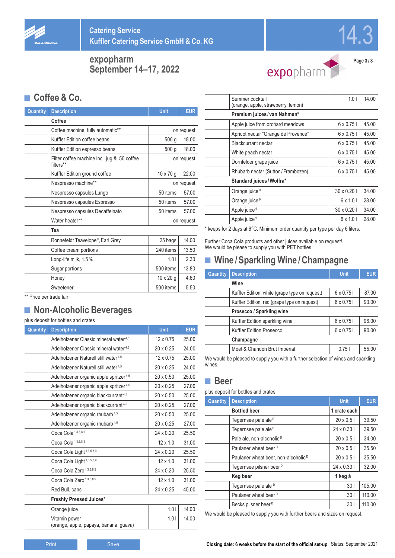



expopharm

**Page 3 / 8**

## **■ Coffee & Co.**

| Quantity | <b>Description</b>                                       | Unit             | <b>EUR</b> |  |
|----------|----------------------------------------------------------|------------------|------------|--|
|          | Coffee                                                   |                  |            |  |
|          | Coffee machine, fully automatic**                        |                  | on request |  |
|          | Kuffler Edition coffee beans                             | 500 g            | 18.00      |  |
|          | Kuffler Edition espresso beans                           | 500 <sub>g</sub> | 18.00      |  |
|          | Filter coffee machine incl. jug & 50 coffee<br>filters** |                  | on request |  |
|          | Kuffler Edition ground coffee                            | 10 x 70 g        | 22.00      |  |
|          | Nespresso machine**                                      |                  | on request |  |
|          | Nespresso capsules Lungo                                 | 50 items         | 57.00      |  |
|          | Nespresso capsules Espresso                              |                  | 57.00      |  |
|          | Nespresso capsules Decaffeinato                          | 50 items         | 57.00      |  |
|          | Water heater**                                           | on request       |            |  |
|          | Tea                                                      |                  |            |  |
|          | Ronnefeldt Teavelope®, Earl Grey                         | 25 bags          | 14.00      |  |
|          | Coffee cream portions                                    | 240 items        | 13.50      |  |
|          | Long-life milk, 1.5%                                     | 1.01             | 2.30       |  |
|          | Sugar portions                                           | 500 items        | 13.80      |  |
|          | Honey                                                    | $10 \times 20$ g | 4.60       |  |
|          | Sweetener                                                | 500 items        | 5.50       |  |

\*\* Price per trade fair

## **■ Non-Alcoholic Beverages**

#### plus deposit for bottles and crates

| Quantity | <b>Description</b>                                      | <b>Unit</b>        | <b>EUR</b> |
|----------|---------------------------------------------------------|--------------------|------------|
|          | Adelholzener Classic mineral water <sup>4,5</sup>       | 12 x 0.75 l        | 25.00      |
|          | Adelholzener Classic mineral water <sup>4,5</sup>       | $20 \times 0.25$ I | 24.00      |
|          | Adelholzener Naturell still water <sup>4,5</sup>        | 12 x 0.75 l        | 25.00      |
|          | Adelholzener Naturell still water <sup>4,5</sup>        | $20 \times 0.25$ I | 24.00      |
|          | Adelholzener organic apple spritzer <sup>4,5</sup>      | 20 x 0.50 l        | 25.00      |
|          | Adelholzener organic apple spritzer <sup>4,5</sup>      | 20 x 0,25 l        | 27.00      |
|          | Adelholzener organic blackcurrant <sup>4,5</sup>        | 20 x 0.50 l        | 25.00      |
|          | Adelholzener organic blackcurrant <sup>4,5</sup>        | 20 x 0.25 l        | 27.00      |
|          | Adelholzener organic rhubarb <sup>4,5</sup>             | $20 \times 0.501$  | 25.00      |
|          | Adelholzener organic rhubarb <sup>4,5</sup>             | 20 x 0.25 l        | 27.00      |
|          | Coca Cola <sup>1,3,5,8,9</sup>                          | 24 x 0.20 l        | 25.50      |
|          | Coca Cola <sup>1,3,5,8,9</sup>                          | $12 \times 1.01$   | 31.00      |
|          | Coca Cola Light <sup>1,3,5,8,9</sup>                    | 24 x 0.20 l        | 25.50      |
|          | Coca Cola Light <sup>1,3,5,8,9</sup>                    | $12 \times 1.01$   | 31.00      |
|          | Coca Cola Zero <sup>1,3,5,8,9</sup>                     | 24 x 0.20 l        | 25.50      |
|          | Coca Cola Zero <sup>1,3,5,8,9</sup>                     | $12 \times 1.01$   | 31.00      |
|          | Red Bull, cans                                          | 24 x 0.25 l        | 45.00      |
|          | Freshly Pressed Juices*                                 |                    |            |
|          | Orange juice                                            | 1.01               | 14.00      |
|          | Vitamin power<br>(orange, apple, papaya, banana, guava) | 1.01               | 14.00      |

| Summer cocktail<br>(orange, apple, strawberry, lemon) | 1.01              | 14.00 |
|-------------------------------------------------------|-------------------|-------|
| Premium juices/van Nahmen*                            |                   |       |
| Apple juice from orchard meadows                      | 6 x 0.75 l        | 45.00 |
| Apricot nectar "Orange de Provence"                   | $6 \times 0.75$   | 45.00 |
| <b>Blackcurrant nectar</b>                            | $6 \times 0.75$   | 45.00 |
| White peach nectar                                    | $6 \times 0.75$   | 45.00 |
| Dornfelder grape juice                                | $6 \times 0.75$   | 45.00 |
| Rhubarb nectar (Sutton/Frambozen)                     | $6 \times 0.75$   | 45.00 |
| Standard juices/Wolfra*                               |                   |       |
| Orange juice <sup>9</sup>                             | $30 \times 0.201$ | 34.00 |
| Orange juice <sup>9</sup>                             | $6 \times 1.01$   | 28.00 |
| Apple juice <sup>9</sup>                              | $30 \times 0.201$ | 34.00 |
| Apple juice <sup>9</sup>                              | $6 \times 1.01$   | 28.00 |
|                                                       |                   |       |

\* keeps for 2 days at 6°C. Minimum order quantity per type per day 6 liters.

Further Coca Cola products and other juices available on request! We would be please to supply you with PET bottles.

## **■ Wine /Sparkling Wine /Champagne**

| Quantity  | <b>Description</b>                                                                | <b>Unit</b>      | <b>EUR</b> |  |  |  |  |
|-----------|-----------------------------------------------------------------------------------|------------------|------------|--|--|--|--|
|           | Wine                                                                              |                  |            |  |  |  |  |
|           | Kuffler Edition, white (grape type on request)                                    | $6 \times 0.75$  | 87.00      |  |  |  |  |
|           | Kuffler Edition, red (grape type on request)                                      | $6 \times 0.751$ | 93.00      |  |  |  |  |
|           |                                                                                   |                  |            |  |  |  |  |
|           | Kuffler Edition sparkling wine                                                    | $6 \times 0.75$  | 96.00      |  |  |  |  |
|           | Kuffler Edition Prosecco                                                          | $6 \times 0.751$ | 90.00      |  |  |  |  |
| Champagne |                                                                                   |                  |            |  |  |  |  |
|           | Moët & Chandon Brut Impérial                                                      | 0.751            | 55.00      |  |  |  |  |
|           | We would be pleased to supply you with a further selection of wipes and sparkling |                  |            |  |  |  |  |

We would be pleased to supply you with a further selection of wines and sparkling wines.

### **■ Beer**

plus deposit for bottles and crates

| Quantity | <b>Description</b>                              | <b>Unit</b>        | <b>EUR</b> |
|----------|-------------------------------------------------|--------------------|------------|
|          | <b>Bottled beer</b>                             | 1 crate each       |            |
|          | Tegernsee pale ale D                            | $20 \times 0.51$   | 39.50      |
|          | Tegernsee pale ale <sup>D</sup>                 | $24 \times 0.331$  | 39.50      |
|          | Pale ale, non-alcoholic <sup>D</sup>            | $20 \times 0.5$    | 34.00      |
|          | Paulaner wheat beer <sup>D</sup>                | $20 \times 0.5$    | 35.50      |
|          | Paulaner wheat beer, non-alcoholic <sup>D</sup> | $20 \times 0.5$    | 35.50      |
|          | Tegernsee pilsner beer <sup>D</sup>             | $24 \times 0.33$ J | 32.00      |
|          | Keg beer                                        | 1 keg à            |            |
|          | Tegernsee pale ale <sup>D</sup>                 | 301                | 105.00     |
|          | Paulaner wheat beer <sup>D</sup>                | 301                | 110.00     |
|          | Becks pilsner beer <sup>D</sup>                 | 301                | 110.00     |

We would be pleased to supply you with further beers and sizes on request.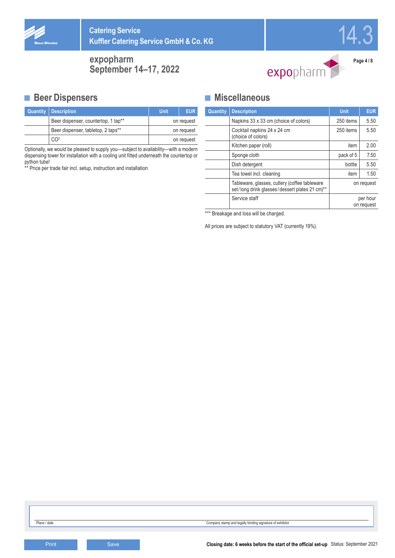





**Page 4 / 8**

### **■ Beer Dispensers**

| <b>Quantity   Description</b>       | Unit       | <b>EUR</b> |  |
|-------------------------------------|------------|------------|--|
| Beer dispenser, countertop, 1 tap** |            | on request |  |
| Beer dispenser, tabletop, 2 taps**  | on request |            |  |
| CO2                                 |            | on request |  |

Optionally, we would be pleased to supply you—subject to availability—with a modern dispensing tower for installation with a cooling unit fitted underneath the countertop or python tube!

\*\* Price per trade fair incl. setup, instruction and installation

### **■ Miscellaneous**

| Quantity | <b>Description</b>                                                                              | <b>Unit</b>            | <b>EUR</b> |  |  |  |  |
|----------|-------------------------------------------------------------------------------------------------|------------------------|------------|--|--|--|--|
|          | Napkins 33 x 33 cm (choice of colors)                                                           | 250 items              |            |  |  |  |  |
|          | Cocktail napkins 24 x 24 cm<br>250 items<br>(choice of colors)                                  |                        |            |  |  |  |  |
|          | Kitchen paper (roll)                                                                            | item                   | 2.00       |  |  |  |  |
|          | Sponge cloth                                                                                    | pack of 5              | 7.50       |  |  |  |  |
|          | Dish detergent                                                                                  | bottle                 | 5.50       |  |  |  |  |
|          | Tea towel incl. cleaning                                                                        | 1.50<br>item           |            |  |  |  |  |
|          | Tableware, glasses, cutlery (coffee tableware<br>set/long drink glasses/dessert plates 21 cm)** | on request             |            |  |  |  |  |
|          | Service staff                                                                                   | per hour<br>on request |            |  |  |  |  |

\*\*\* Breakage and loss will be charged.

All prices are subject to statutory VAT (currently 19%).

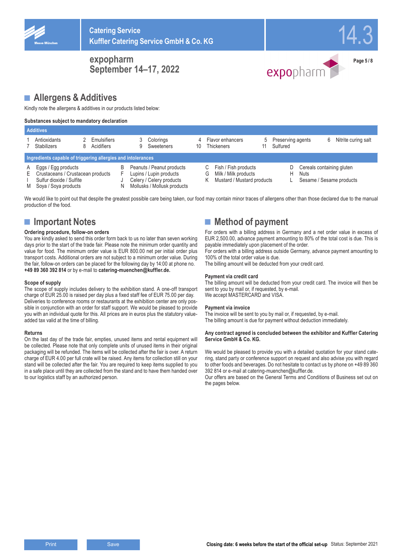







### **■ Allergens & Additives**

Kindly note the allergens & additives in our products listed below:

#### **Substances subject to mandatory declaration**

|              | <b>Additives</b>                                                                                             |  |                                  |  |  |                                                                                                                 |         |                                                                                      |  |          |                   |   |                                                       |
|--------------|--------------------------------------------------------------------------------------------------------------|--|----------------------------------|--|--|-----------------------------------------------------------------------------------------------------------------|---------|--------------------------------------------------------------------------------------|--|----------|-------------------|---|-------------------------------------------------------|
|              | Antioxidants<br><b>Stabilizers</b>                                                                           |  | <b>Emulsifiers</b><br>Acidifiers |  |  | Colorings<br>Sweeteners                                                                                         | 4<br>10 | Flavor enhancers<br><b>Thickeners</b>                                                |  | Sulfured | Preserving agents | 6 | Nitrite curing salt                                   |
|              | Ingredients capable of triggering allergies and intolerances                                                 |  |                                  |  |  |                                                                                                                 |         |                                                                                      |  |          |                   |   |                                                       |
| A<br>E.<br>M | Eggs / Egg products<br>Crustaceans / Crustacean products<br>Sulfur dioxide / Sulfite<br>Soya / Soya products |  |                                  |  |  | Peanuts / Peanut products<br>Lupins / Lupin products<br>Celery / Celery products<br>Mollusks / Mollusk products |         | Fish / Fish products<br>Milk / Milk products<br>G<br>Mustard / Mustard products<br>ĸ |  |          | Nuts<br>н         |   | Cereals containing gluten<br>Sesame / Sesame products |

We would like to point out that despite the greatest possible care being taken, our food may contain minor traces of allergens other than those declared due to the manual production of the food.

### **■ Important Notes**

#### **Ordering procedure, follow-on orders**

You are kindly asked to send this order form back to us no later than seven working days prior to the start of the trade fair. Please note the minimum order quantity and value for food. The minimum order value is EUR 800.00 net per initial order plus transport costs. Additional orders are not subject to a minimum order value. During the fair, follow-on orders can be placed for the following day by 14:00 at phone no. **+49 89 360 392 814** or by e-mail to **catering-muenchen@kuffler.de.**

#### **Scope of supply**

The scope of supply includes delivery to the exhibition stand. A one-off transport charge of EUR 25.00 is raised per day plus a fixed staff fee of EUR 75.00 per day. Deliveries to conference rooms or restaurants at the exhibition center are only possible in conjunction with an order for staff support. We would be pleased to provide you with an individual quote for this. All prices are in euros plus the statutory valueadded tax valid at the time of billing.

#### **Returns**

On the last day of the trade fair, empties, unused items and rental equipment will be collected. Please note that only complete units of unused items in their original packaging will be refunded. The items will be collected after the fair is over. A return charge of EUR 4.00 per full crate will be raised. Any items for collection still on your stand will be collected after the fair. You are required to keep items supplied to you in a safe place until they are collected from the stand and to have them handed over to our logistics staff by an authorized person.

## **■ Method of payment**

For orders with a billing address in Germany and a net order value in excess of EUR 2,500.00, advance payment amounting to 80% of the total cost is due. This is payable immediately upon placement of the order.

For orders with a billing address outside Germany, advance payment amounting to 100% of the total order value is due.

The billing amount will be deducted from your credit card.

#### **Payment via credit card**

The billing amount will be deducted from your credit card. The invoice will then be sent to you by mail or, if requested, by e-mail. We accept MASTERCARD and VISA.

#### **Payment via invoice**

The invoice will be sent to you by mail or, if requested, by e-mail. The billing amount is due for payment without deduction immediately.

#### **Any contract agreed is concluded between the exhibitor and Kuffler Catering Service GmbH & Co. KG.**

We would be pleased to provide you with a detailed quotation for your stand catering, stand party or conference support on request and also advise you with regard to other foods and beverages. Do not hesitate to contact us by phone on +49 89 360 392 814 or e-mail at catering-muenchen@kuffler.de.

Our offers are based on the General Terms and Conditions of Business set out on the pages below.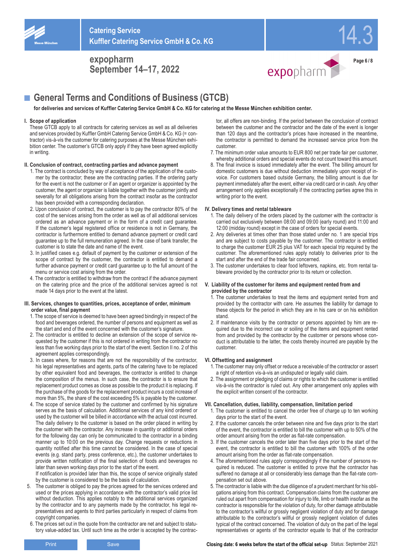



14.3

## ■ **General Terms and Conditions of Business (GTCB)**

**for deliveries and services of Kuffler Catering Service GmbH & Co. KG for catering at the Messe München exhibition center.**

#### **I. Scope of application**

These GTCB apply to all contracts for catering services as well as all deliveries and services provided by Kuffler GmbH Catering Service GmbH & Co. KG (= contractor) vis-à-vis the customer for catering purposes at the Messe München exhibition center. The customer's GTCB only apply if they have been agreed explicitly in writing.

#### **II. Conclusion of contract, contracting parties and advance payment**

- 1. The contract is concluded by way of acceptance of the application of the customer by the contractor; these are the contracting parties. If the ordering party for the event is not the customer or if an agent or organizer is appointed by the customer, the agent or organizer is liable together with the customer jointly and severally for all obligations arising from the contract insofar as the contractor has been provided with a corresponding declaration.
- 2. Upon conclusion of contract, the customer is to pay the contractor 80% of the cost of the services arising from the order as well as of all additional services ordered as an advance payment or in the form of a credit card guarantee. If the customer's legal registered office or residence is not in Germany, the contractor is furthermore entitled to demand advance payment or credit card guarantee up to the full remuneration agreed. In the case of bank transfer, the customer is to state the date and name of the event.
- 3. In justified cases e.g. default of payment by the customer or extension of the scope of contract by the customer, the contractor is entitled to demand a further advance payment or credit card guarantee up to the full amount of the menu or service cost arising from the order.
- 4. The contractor is entitled to withdraw from the contract if the advance payment on the catering price and the price of the additional services agreed is not made 14 days prior to the event at the latest.

#### **III. Services, changes to quantities, prices, acceptance of order, minimum order value, final payment**

- 1. The scope of service is deemed to have been agreed bindingly in respect of the food and beverages ordered, the number of persons and equipment as well as the start and end of the event concerned with the customer's signature.
- 2. The contractor is entitled to decline an extension of the scope of service requested by the customer if this is not ordered in writing from the contractor no less than five working days prior to the start of the event. Section II no. 2 of this agreement applies correspondingly.
- 3. In cases where, for reasons that are not the responsibility of the contractor, his legal representatives and agents, parts of the catering have to be replaced by other equivalent food and beverages, the contractor is entitled to change the composition of the menus. In such case, the contractor is to ensure that replacement product comes as close as possible to the product it is replacing. If the purchase of the goods for the replacement product incurs a cost increase of more than 5%, the share of the cost exceeding 5% is payable by the customer.
- 4. The scope of service stated by the customer and confirmed by his signature serves as the basis of calculation. Additional services of any kind ordered or used by the customer will be billed in accordance with the actual cost incurred. The daily delivery to the customer is based on the order placed in writing by the customer with the contractor. Any increase in quantity or additional orders for the following day can only be communicated to the contractor in a binding manner up to 10:00 on the previous day. Change requests or reductions in quantity notified after this time cannot be considered. In the case of special events (e.g. stand party, press conference, etc.), the customer undertakes to provide written notification of the final selection of foods and beverages no later than seven working days prior to the start of the event.

If notification is provided later than this, the scope of service originally stated by the customer is considered to be the basis of calculation.

- 5. The customer is obliged to pay the prices agreed for the services ordered and used or the prices applying in accordance with the contractor's valid price list without deduction. This applies notably to the additional services organized by the contractor and to any payments made by the contractor, his legal representatives and agents to third parties particularly in respect of claims from copyright companies.
- 6. The prices set out in the quote from the contractor are net and subject to statutory value-added tax. Until such time as the order is accepted by the contrac-

tor, all offers are non-binding. If the period between the conclusion of contract between the customer and the contractor and the date of the event is longer than 120 days and the contractor's prices have increased in the meantime, the contractor is permitted to demand the increased service price from the customer.

- 7. The minimum order value amounts to EUR 800 net per trade fair per customer, whereby additional orders and special events do not count toward this amount.
- 8. The final invoice is issued immediately after the event. The billing amount for domestic customers is due without deduction immediately upon receipt of invoice. For customers based outside Germany, the billing amount is due for payment immediately after the event, either via credit card or in cash. Any other arrangement only applies exceptionally if the contracting parties agree this in writing prior to the event.

#### **IV. Delivery times and rental tableware**

- 1. The daily delivery of the orders placed by the customer with the contractor is carried out exclusively between 08:00 and 09:00 (early round) and 11:00 and 12:00 (midday round) except in the case of orders for special events.
- 2. Any deliveries at times other than those stated under no. 1 are special trips and are subject to costs payable by the customer. The contractor is entitled to charge the customer EUR 25 plus VAT for each special trip required by the customer. The aforementioned rules apply notably to deliveries prior to the start and after the end of the trade fair concerned.
- 3. The customer undertakes to clear food leftovers, napkins, etc. from rental tableware provided by the contractor prior to its return or collection.

#### **V. Liability of the customer for items and equipment rented from and provided by the contractor**

- The customer undertakes to treat the items and equipment rented from and provided by the contractor with care. He assumes the liability for damage to these objects for the period in which they are in his care or on his exhibition stand.
- 2. If maintenance visits by the contractor or persons appointed by him are required due to the incorrect use or soiling of the items and equipment rented from and provided by the contractor by the customer or persons whose conduct is attributable to the latter, the costs thereby incurred are payable by the customer.

#### **VI. Offsetting and assignment**

- 1. The customer may only offset or reduce a receivable of the contractor or assert a right of retention vis-à-vis an undisputed or legally valid claim.
- 2. The assignment or pledging of claims or rights to which the customer is entitled vis-à-vis the contractor is ruled out. Any other arrangement only applies with the explicit written consent of the contractor.

#### **VII. Cancellation, duties, liability, compensation, limitation period**

- 1. The customer is entitled to cancel the order free of charge up to ten working days prior to the start of the event.
- 2. If the customer cancels the order between nine and five days prior to the start of the event, the contractor is entitled to bill the customer with up to 50% of the order amount arising from the order as flat-rate compensation.
- 3. If the customer cancels the order later than five days prior to the start of the event, the contractor is entitled to bill the customer with 100% of the order amount arising from the order as flat-rate compensation.
- 4. The aforementioned rules apply correspondingly if the number of persons required is reduced. The customer is entitled to prove that the contractor has suffered no damage at all or considerably less damage than the flat-rate compensation set out above.
- 5. The contractor is liable with the due diligence of a prudent merchant for his obligations arising from this contract. Compensation claims from the customer are ruled out apart from compensation for injury to life, limb or health insofar as the contractor is responsible for the violation of duty, for other damage attributable to the contractor's willful or grossly negligent violation of duty and for damage attributable to the contractor's willful or grossly negligent violation of duties typical of the contract concerned. The violation of duty on the part of the legal representatives or agents of the contractor equate to that of the contractor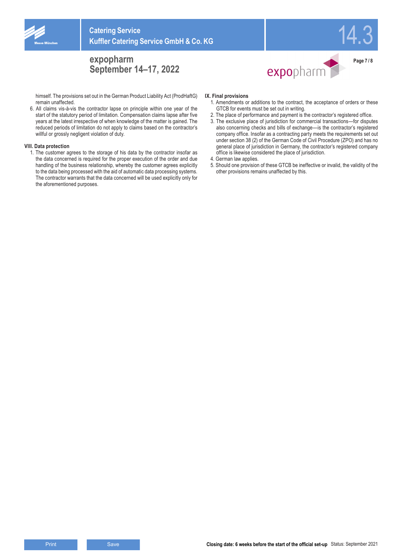

himself. The provisions set out in the German Product Liability Act (ProdHaftG) remain unaffected.

6. All claims vis-à-vis the contractor lapse on principle within one year of the start of the statutory period of limitation. Compensation claims lapse after five years at the latest irrespective of when knowledge of the matter is gained. The reduced periods of limitation do not apply to claims based on the contractor's willful or grossly negligent violation of duty.

#### **VIII. Data protection**

1. The customer agrees to the storage of his data by the contractor insofar as the data concerned is required for the proper execution of the order and due handling of the business relationship, whereby the customer agrees explicitly to the data being processed with the aid of automatic data processing systems. The contractor warrants that the data concerned will be used explicitly only for the aforementioned purposes.



1. Amendments or additions to the contract, the acceptance of orders or these GTCB for events must be set out in writing.

expopharm

14.3

**Page 7 / 8**

- 2. The place of performance and payment is the contractor's registered office.
- 3. The exclusive place of jurisdiction for commercial transactions—for disputes also concerning checks and bills of exchange—is the contractor's registered company office. Insofar as a contracting party meets the requirements set out under section 38 (2) of the German Code of Civil Procedure (ZPO) and has no general place of jurisdiction in Germany, the contractor's registered company office is likewise considered the place of jurisdiction.
- 4. German law applies.
- 5. Should one provision of these GTCB be ineffective or invalid, the validity of the other provisions remains unaffected by this.